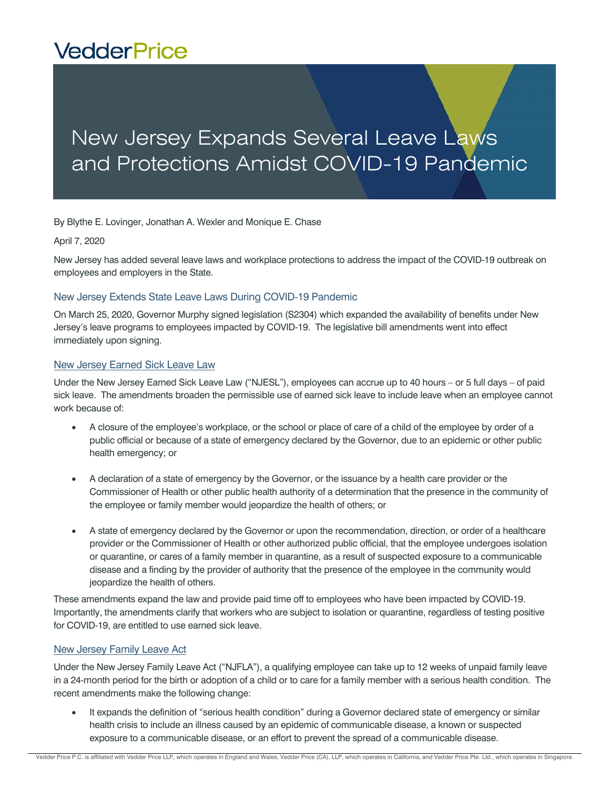# **VedderPrice**

# New Jersey Expands Several Leave Laws and Protections Amidst COVID-19 Pandemic

By Blythe E. Lovinger, Jonathan A. Wexler and Monique E. Chase

#### April 7, 2020

New Jersey has added several leave laws and workplace protections to address the impact of the COVID-19 outbreak on employees and employers in the State.

### New Jersey Extends State Leave Laws During COVID-19 Pandemic

On March 25, 2020, Governor Murphy signed legislation (S2304) which expanded the availability of benefits under New Jersey's leave programs to employees impacted by COVID-19. The legislative bill amendments went into effect immediately upon signing.

#### New Jersey Earned Sick Leave Law

Under the New Jersey Earned Sick Leave Law ("NJESL"), employees can accrue up to 40 hours – or 5 full days – of paid sick leave. The amendments broaden the permissible use of earned sick leave to include leave when an employee cannot work because of:

- A closure of the employee's workplace, or the school or place of care of a child of the employee by order of a public official or because of a state of emergency declared by the Governor, due to an epidemic or other public health emergency; or
- A declaration of a state of emergency by the Governor, or the issuance by a health care provider or the Commissioner of Health or other public health authority of a determination that the presence in the community of the employee or family member would jeopardize the health of others; or
- A state of emergency declared by the Governor or upon the recommendation, direction, or order of a healthcare provider or the Commissioner of Health or other authorized public official, that the employee undergoes isolation or quarantine, or cares of a family member in quarantine, as a result of suspected exposure to a communicable disease and a finding by the provider of authority that the presence of the employee in the community would jeopardize the health of others.

These amendments expand the law and provide paid time off to employees who have been impacted by COVID-19. Importantly, the amendments clarify that workers who are subject to isolation or quarantine, regardless of testing positive for COVID-19, are entitled to use earned sick leave.

#### New Jersey Family Leave Act

Under the New Jersey Family Leave Act ("NJFLA"), a qualifying employee can take up to 12 weeks of unpaid family leave in a 24-month period for the birth or adoption of a child or to care for a family member with a serious health condition. The recent amendments make the following change:

 It expands the definition of "serious health condition" during a Governor declared state of emergency or similar health crisis to include an illness caused by an epidemic of communicable disease, a known or suspected exposure to a communicable disease, or an effort to prevent the spread of a communicable disease.